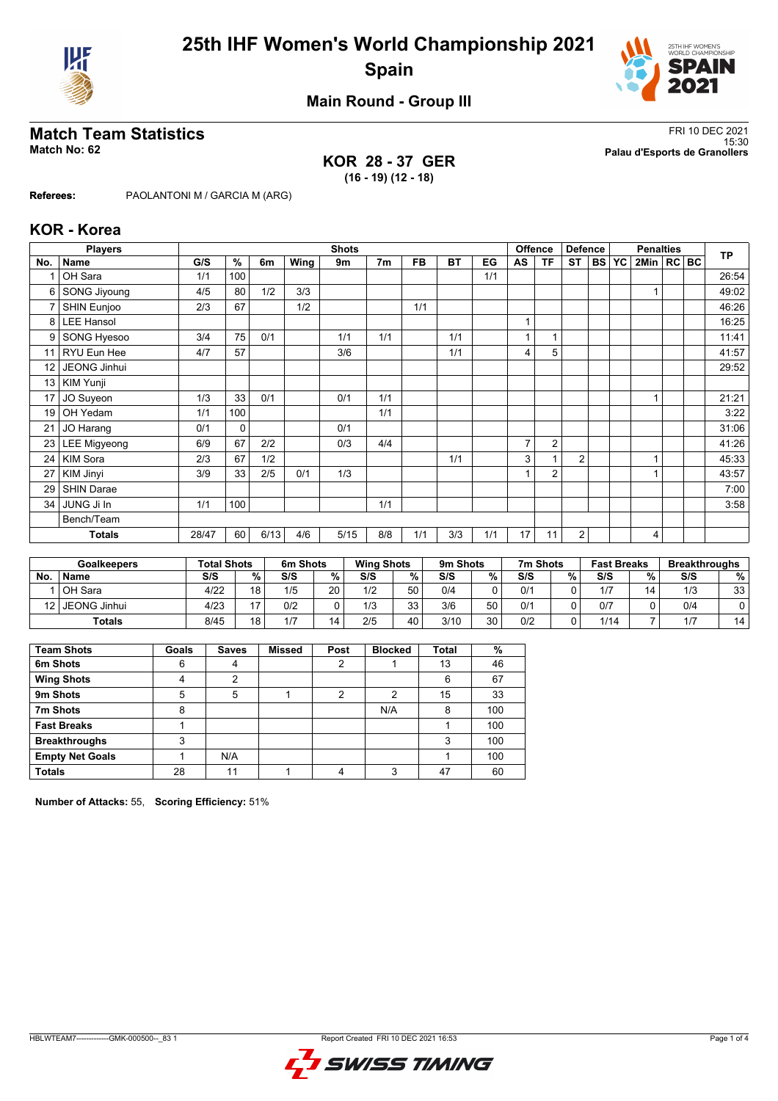



## **Main Round - Group III**

### **KOR 28 - 37 GER (16 - 19) (12 - 18)**

**Match Team Statistics** FRI 10 DEC 2021 15:30 **Match No: 62 Palau d'Esports de Granollers**

**Referees:** PAOLANTONI M / GARCIA M (ARG)

### **KOR - Korea**

|                 | <b>Players</b>      |       | <b>Shots</b> |      |      |      |                |           |           |     | Offence<br><b>Defence</b> |                |                | <b>Penalties</b> |           |                |  | <b>TP</b> |       |
|-----------------|---------------------|-------|--------------|------|------|------|----------------|-----------|-----------|-----|---------------------------|----------------|----------------|------------------|-----------|----------------|--|-----------|-------|
| No.             | <b>Name</b>         | G/S   | %            | 6m   | Wing | 9m   | 7 <sub>m</sub> | <b>FB</b> | <b>BT</b> | EG  | AS                        | <b>TF</b>      | <b>ST</b>      | <b>BS</b>        | <b>YC</b> | 2Min   RC   BC |  |           |       |
|                 | OH Sara             | 1/1   | 100          |      |      |      |                |           |           | 1/1 |                           |                |                |                  |           |                |  |           | 26:54 |
| 6               | SONG Jiyoung        | 4/5   | 80           | 1/2  | 3/3  |      |                |           |           |     |                           |                |                |                  |           |                |  |           | 49:02 |
| $\overline{7}$  | SHIN Eunjoo         | 2/3   | 67           |      | 1/2  |      |                | 1/1       |           |     |                           |                |                |                  |           |                |  |           | 46:26 |
| 8               | <b>LEE Hansol</b>   |       |              |      |      |      |                |           |           |     | $\overline{1}$            |                |                |                  |           |                |  |           | 16:25 |
| 9               | SONG Hyesoo         | 3/4   | 75           | 0/1  |      | 1/1  | 1/1            |           | 1/1       |     |                           |                |                |                  |           |                |  |           | 11:41 |
| 11              | RYU Eun Hee         | 4/7   | 57           |      |      | 3/6  |                |           | 1/1       |     | 4                         | 5              |                |                  |           |                |  |           | 41:57 |
| 12 <sup>2</sup> | JEONG Jinhui        |       |              |      |      |      |                |           |           |     |                           |                |                |                  |           |                |  |           | 29:52 |
| 13              | KIM Yunji           |       |              |      |      |      |                |           |           |     |                           |                |                |                  |           |                |  |           |       |
| 17              | JO Suyeon           | 1/3   | 33           | 0/1  |      | 0/1  | 1/1            |           |           |     |                           |                |                |                  |           |                |  |           | 21:21 |
| 19              | OH Yedam            | 1/1   | 100          |      |      |      | 1/1            |           |           |     |                           |                |                |                  |           |                |  |           | 3:22  |
| 21              | JO Harang           | 0/1   | $\mathbf 0$  |      |      | 0/1  |                |           |           |     |                           |                |                |                  |           |                |  |           | 31:06 |
| 23              | <b>LEE Migyeong</b> | 6/9   | 67           | 2/2  |      | 0/3  | 4/4            |           |           |     | $\overline{7}$            | 2              |                |                  |           |                |  |           | 41:26 |
| 24              | <b>KIM Sora</b>     | 2/3   | 67           | 1/2  |      |      |                |           | 1/1       |     | 3                         |                | $\overline{2}$ |                  |           |                |  |           | 45:33 |
| 27              | KIM Jinyi           | 3/9   | 33           | 2/5  | 0/1  | 1/3  |                |           |           |     |                           | $\overline{2}$ |                |                  |           |                |  |           | 43:57 |
| 29              | <b>SHIN Darae</b>   |       |              |      |      |      |                |           |           |     |                           |                |                |                  |           |                |  |           | 7:00  |
| 34              | JUNG Ji In          | 1/1   | 100          |      |      |      | 1/1            |           |           |     |                           |                |                |                  |           |                |  |           | 3:58  |
|                 | Bench/Team          |       |              |      |      |      |                |           |           |     |                           |                |                |                  |           |                |  |           |       |
|                 | <b>Totals</b>       | 28/47 | 60           | 6/13 | 4/6  | 5/15 | 8/8            | 1/1       | 3/3       | 1/1 | 17                        | 11             | 2              |                  |           | 4              |  |           |       |

|                 | <b>Goalkeepers</b> | <b>Total Shots</b> |                | 6m Shots |    | <b>Wing Shots</b> |          | 9m Shots |    | 7m Shots |   | <b>Fast Breaks</b> |    | <b>Breakthroughs</b> |    |
|-----------------|--------------------|--------------------|----------------|----------|----|-------------------|----------|----------|----|----------|---|--------------------|----|----------------------|----|
| No.             | <b>Name</b>        | S/S                | %              | S/S      | %. | S/S               | %.       | S/S      | %  | S/S      | % | S/S                | %  | S/S                  | %  |
|                 | OH Sara            | 4/22               | 1 Q            | 1/5      | 20 | 1/2               | 50       | 0/4      | ∩  | 0/1      |   | 1/7                | 14 | 1/3                  | 33 |
| 12 <sub>1</sub> | l JEONG Jinhui     | 4/23               | $\overline{ }$ | 0/2      |    | 1/3               | 33<br>JJ | 3/6      | 50 | 0/1      |   | 0/7                |    | 0/4                  |    |
|                 | Totals             | 8/45               | 1 Q            | 1/7      | 14 | 2/5               | 40       | 3/10     | 30 | 0/2      |   | 1/14               |    | 1/7                  | 14 |

| <b>Team Shots</b>      | Goals | <b>Saves</b> | <b>Missed</b> | Post | <b>Blocked</b> | Total | %   |
|------------------------|-------|--------------|---------------|------|----------------|-------|-----|
| 6m Shots               | 6     | 4            |               | 2    |                | 13    | 46  |
| <b>Wing Shots</b>      | 4     | 2            |               |      |                | 6     | 67  |
| 9m Shots               | 5     | 5            |               | າ    | 2              | 15    | 33  |
| 7m Shots               | 8     |              |               |      | N/A            | 8     | 100 |
| <b>Fast Breaks</b>     |       |              |               |      |                |       | 100 |
| <b>Breakthroughs</b>   | 3     |              |               |      |                | 3     | 100 |
| <b>Empty Net Goals</b> |       | N/A          |               |      |                |       | 100 |
| <b>Totals</b>          | 28    | 11           |               | 4    | ર              | 47    | 60  |

**Number of Attacks:** 55, **Scoring Efficiency:** 51%

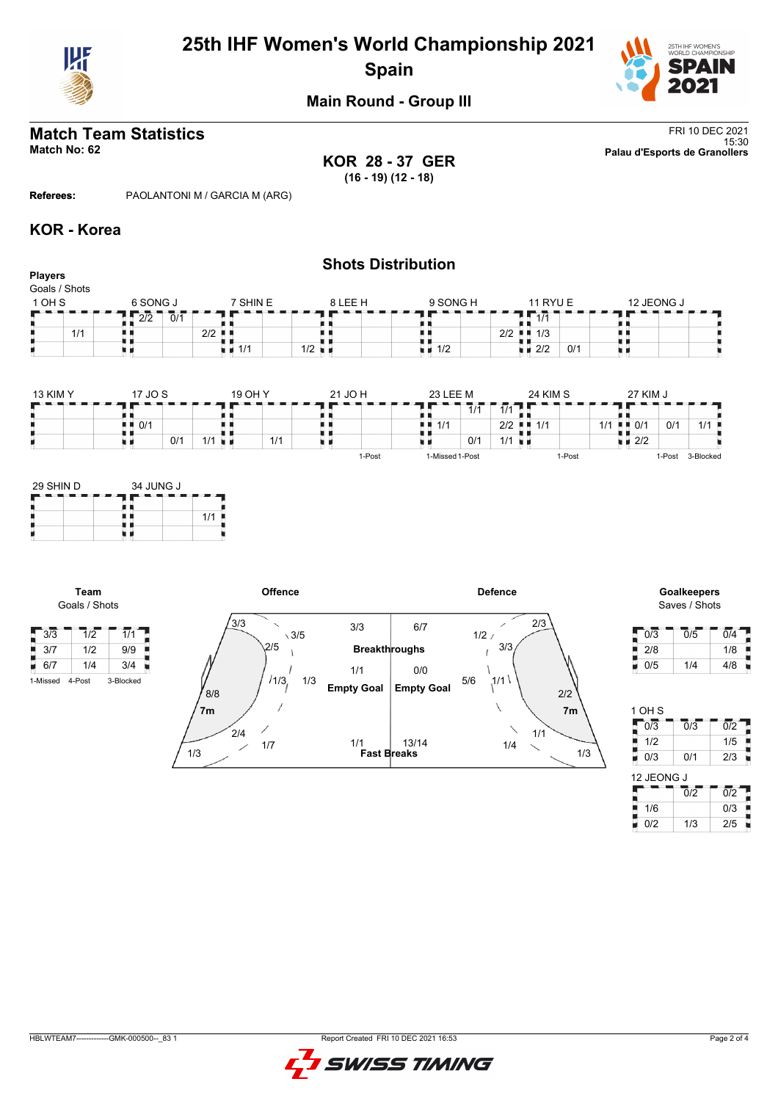

# **25th IHF Women's World Championship 2021 Spain**



## **Main Round - Group III**

**KOR 28 - 37 GER (16 - 19) (12 - 18)**

**Shots Distribution**

**Match Team Statistics** FRI 10 DEC 2021 15:30 **Match No: 62 Palau d'Esports de Granollers**

**Referees:** PAOLANTONI M / GARCIA M (ARG)

### **KOR - Korea**

| <b>Players</b><br>Goals / Shots |                                   |                             |                      |                    |                           |                                                        |
|---------------------------------|-----------------------------------|-----------------------------|----------------------|--------------------|---------------------------|--------------------------------------------------------|
| 1 OH S                          | 6 SONG J                          | 7 SHIN E                    | 8 LEE H              | 9 SONG H           | <b>11 RYU E</b>           | 12 JEONG J                                             |
|                                 | $\overline{2/2}$<br>0/1           |                             |                      |                    | 1/1<br>55.                |                                                        |
| 1/1                             |                                   | $2/2$ $\blacksquare$        |                      |                    | 2/2<br>1/3<br>. .         |                                                        |
|                                 |                                   | $\blacksquare$ 1/1          | $1/2$ $\blacksquare$ | $\blacksquare$ 1/2 | $\blacksquare$ 2/2<br>0/1 |                                                        |
| <b>13 KIM Y</b>                 | 17 JO S                           | 19 OH Y                     | 21 JO H              | 23 LEE M           | 24 KIM S                  | 27 KIM J                                               |
|                                 |                                   |                             |                      | 1/1                | $\overline{1/1}$          |                                                        |
|                                 | $\blacksquare$ $\blacksquare$ 0/1 |                             |                      | 1/1<br>ш           | $2/2$ $\blacksquare$ 1/1  | 1/1<br>0/1<br>1/1<br>$\blacksquare$ $\blacksquare$ 0/1 |
|                                 | 0/1                               | 1/1<br>$1/1$ $\blacksquare$ |                      | 0/1                | $1/1$ u m                 | $\blacksquare$ $\blacksquare$ 2/2                      |
|                                 |                                   |                             | 1-Post               | 1-Missed 1-Post    | 1-Post                    | 3-Blocked<br>1-Post                                    |



**Team** Goals / Shots

 $\frac{1}{2}$  3/3 1 1/2 1/1



Saves / Shots

| 0/3 | 0/5 | 0/4 |
|-----|-----|-----|
| 2/8 |     | 1/8 |
| 0/5 | 1/4 | 4/8 |

| 1 OH S     |     |     |  |  |  |  |  |  |  |  |
|------------|-----|-----|--|--|--|--|--|--|--|--|
| 0/3        | 0/3 | 0/2 |  |  |  |  |  |  |  |  |
| 1/2        |     | 1/5 |  |  |  |  |  |  |  |  |
| 0/3        | 0/1 | 2/3 |  |  |  |  |  |  |  |  |
| 12 JEONG J |     |     |  |  |  |  |  |  |  |  |
|            | 0/2 | በ/2 |  |  |  |  |  |  |  |  |

|     | 0/2 | በ/2 |
|-----|-----|-----|
| 1/6 |     | 0/3 |
| 0/2 | 1/3 | 2/5 |

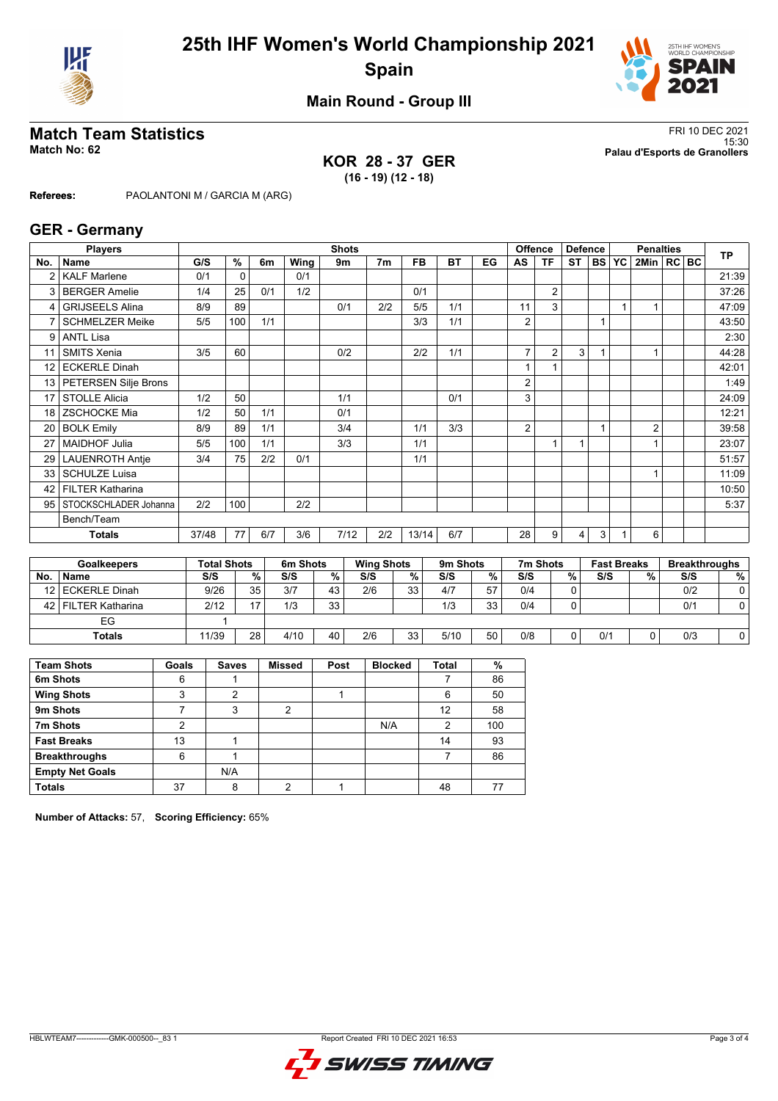



## **Main Round - Group III**

### **KOR 28 - 37 GER (16 - 19) (12 - 18)**

**Match Team Statistics** FRI 10 DEC 2021 15:30 **Match No: 62 Palau d'Esports de Granollers**

**Referees:** PAOLANTONI M / GARCIA M (ARG)

### **GER - Germany**

|                 | <b>Players</b>          | <b>Shots</b> |                    |     |          |                |                   |           |          |     |                | <b>Offence</b> | <b>Defence</b> |    | <b>Penalties</b>   |                |  |    | <b>TP</b>            |
|-----------------|-------------------------|--------------|--------------------|-----|----------|----------------|-------------------|-----------|----------|-----|----------------|----------------|----------------|----|--------------------|----------------|--|----|----------------------|
| No.             | <b>Name</b>             | G/S          | %                  | 6m  | Wing     | 9 <sub>m</sub> | 7 <sub>m</sub>    | <b>FB</b> | ВT       | EG  | AS             | <b>TF</b>      | <b>ST</b>      |    | <b>BS YC</b>       | 2Min   RC BC   |  |    |                      |
| 2               | <b>KALF Marlene</b>     | 0/1          | $\mathbf 0$        |     | 0/1      |                |                   |           |          |     |                |                |                |    |                    |                |  |    | 21:39                |
| 3               | <b>BERGER Amelie</b>    | 1/4          | 25                 | 0/1 | 1/2      |                |                   | 0/1       |          |     |                | $\overline{2}$ |                |    |                    |                |  |    | 37:26                |
| 4               | <b>GRIJSEELS Alina</b>  | 8/9          | 89                 |     |          | 0/1            | 2/2               | 5/5       | 1/1      |     | 11             | 3              |                |    |                    |                |  |    | 47:09                |
|                 | <b>SCHMELZER Meike</b>  | 5/5          | 100                | 1/1 |          |                |                   | 3/3       | 1/1      |     | 2              |                |                |    |                    |                |  |    | 43:50                |
| 9               | <b>ANTL Lisa</b>        |              |                    |     |          |                |                   |           |          |     |                |                |                |    |                    |                |  |    | 2:30                 |
| 11              | <b>SMITS Xenia</b>      | 3/5          | 60                 |     |          | 0/2            |                   | 2/2       | 1/1      |     | $\overline{7}$ | $\overline{2}$ | 3              |    |                    |                |  |    | 44:28                |
| 12              | <b>ECKERLE Dinah</b>    |              |                    |     |          |                |                   |           |          |     |                |                |                |    |                    |                |  |    | 42:01                |
| 13              | PETERSEN Silje Brons    |              |                    |     |          |                |                   |           |          |     | 2              |                |                |    |                    |                |  |    | 1:49                 |
| 17              | <b>STOLLE Alicia</b>    | 1/2          | 50                 |     |          | 1/1            |                   |           | 0/1      |     | 3              |                |                |    |                    |                |  |    | 24:09                |
| 18              | <b>ZSCHOCKE Mia</b>     | 1/2          | 50                 | 1/1 |          | 0/1            |                   |           |          |     |                |                |                |    |                    |                |  |    | 12:21                |
| 20              | <b>BOLK Emily</b>       | 8/9          | 89                 | 1/1 |          | 3/4            |                   | 1/1       | 3/3      |     | 2              |                |                |    |                    | $\overline{2}$ |  |    | 39:58                |
| 27              | <b>MAIDHOF Julia</b>    | 5/5          | 100                | 1/1 |          | 3/3            |                   | 1/1       |          |     |                | 1              | 1              |    |                    |                |  |    | 23:07                |
| 29 <sub>1</sub> | <b>LAUENROTH Antie</b>  | 3/4          | 75                 | 2/2 | 0/1      |                |                   | 1/1       |          |     |                |                |                |    |                    |                |  |    | 51:57                |
| 33              | <b>SCHULZE Luisa</b>    |              |                    |     |          |                |                   |           |          |     |                |                |                |    |                    |                |  |    | 11:09                |
| 42              | <b>FILTER Katharina</b> |              |                    |     |          |                |                   |           |          |     |                |                |                |    |                    |                |  |    | 10:50                |
| 95              | STOCKSCHLADER Johanna   | 2/2          | 100                |     | 2/2      |                |                   |           |          |     |                |                |                |    |                    |                |  |    | 5:37                 |
|                 | Bench/Team              |              |                    |     |          |                |                   |           |          |     |                |                |                |    |                    |                |  |    |                      |
|                 | <b>Totals</b>           | 37/48        | 77                 | 6/7 | 3/6      | 7/12           | 2/2               | 13/14     | 6/7      |     | 28             | 9              | $\overline{4}$ | 3  |                    | 6              |  |    |                      |
|                 |                         |              |                    |     |          |                |                   |           |          |     |                |                |                |    |                    |                |  |    |                      |
|                 | <b>Goalkeepers</b>      |              | <b>Total Shots</b> |     | 6m Shots |                | <b>Wing Shots</b> |           | 9m Shots |     |                | 7m Shots       |                |    | <b>Fast Breaks</b> |                |  |    | <b>Breakthroughs</b> |
| N <sub>0</sub>  | <b>Namo</b>             | 2/2          |                    | 0/2 | S/S      | 0/2            | S/S               | 0/2       | S/S      | 0/2 | 2S             |                | 0/2            | 2S |                    | 0/2            |  | 2S | 0/2                  |

| No.  | <b>Name</b>        | S/S   | %  | S/S  | %  | S/S | % , | S/S  | %  | S/S | % | S/S | % | S/S | %           |
|------|--------------------|-------|----|------|----|-----|-----|------|----|-----|---|-----|---|-----|-------------|
|      | 12 ECKERLE Dinah   | 9/26  | 35 | 3/7  | 43 | 2/6 | 33  | 4/7  | 57 | 0/4 | 0 |     |   | 0/2 | $\sim$<br>v |
| 42 l | l FILTER Katharina | 2/12  | ᅠ  | 1/3  | 33 |     |     | 1/3  | 33 | 0/4 |   |     |   | 0/1 |             |
|      | EG                 |       |    |      |    |     |     |      |    |     |   |     |   |     |             |
|      | <b>Totals</b>      | 11/39 | 28 | 4/10 | 40 | 2/6 | 33  | 5/10 | 50 | 0/8 | 0 | 0/1 |   | 0/3 |             |
|      |                    |       |    |      |    |     |     |      |    |     |   |     |   |     |             |

| <b>Team Shots</b>      | Goals | <b>Saves</b> | <b>Missed</b> | Post | <b>Blocked</b> | <b>Total</b> | %   |
|------------------------|-------|--------------|---------------|------|----------------|--------------|-----|
| 6m Shots               | 6     |              |               |      |                |              | 86  |
| <b>Wing Shots</b>      | 3     | 2            |               |      |                | 6            | 50  |
| 9m Shots               |       | 3            | 2             |      |                | 12           | 58  |
| 7m Shots               | າ     |              |               |      | N/A            | 2            | 100 |
| <b>Fast Breaks</b>     | 13    |              |               |      |                | 14           | 93  |
| <b>Breakthroughs</b>   | 6     |              |               |      |                |              | 86  |
| <b>Empty Net Goals</b> |       | N/A          |               |      |                |              |     |
| <b>Totals</b>          | 37    | 8            | ◠             |      |                | 48           |     |

**Number of Attacks:** 57, **Scoring Efficiency:** 65%